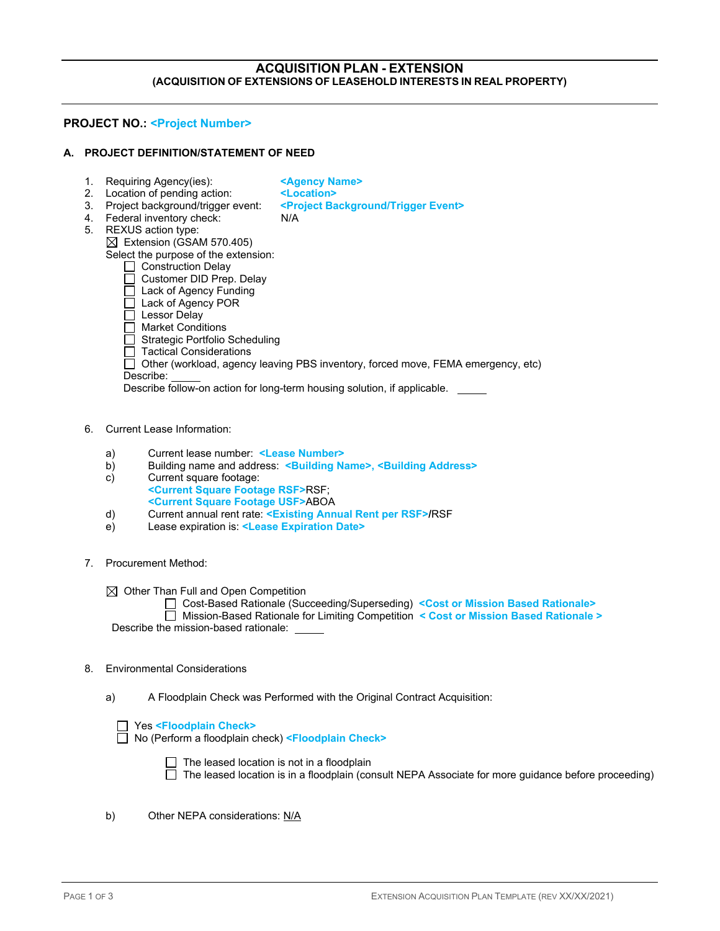### **ACQUISITION PLAN - EXTENSION (ACQUISITION OF EXTENSIONS OF LEASEHOLD INTERESTS IN REAL PROPERTY)**

#### **PROJECT NO.: <Project Number>**

#### **A. PROJECT DEFINITION/STATEMENT OF NEED**

- 
- 1. Requiring Agency(ies): **Example 2.** Location of pending action: **Example 2. Location >**
- 2. Location of pending action: **<Location>**
	-
- 3. Project background/trigger event: **<Project Background/Trigger Event>**
- 4. Federal inventory check: N/A
- 5. REXUS action type:

 $\boxtimes$  Extension (GSAM 570.405) Select the purpose of the extension:

- Construction Delay
	- $\Box$  Customer DID Prep. Delay
	- $\overline{\Box}$  Lack of Agency Funding
- □ Lack of Agency POR
- $\overline{\Box}$  Lessor Delay
- $\Box$  Market Conditions
- $\Box$  Strategic Portfolio Scheduling
- $\Box$  Tactical Considerations
- Other (workload, agency leaving PBS inventory, forced move, FEMA emergency, etc)
- Describe:

Describe follow-on action for long-term housing solution, if applicable.

- 6. Current Lease Information:
	- a) Current lease number: **<Lease Number>**
	- b) Building name and address: **<Building Name>, <Building Address>**
	- Current square footage: **<Current Square Footage RSF>**RSF;
	- **<Current Square Footage USF>**ABOA
	- d) Current annual rent rate: **<Existing Annual Rent per RSF>/**RSF
	- e) Lease expiration is: **<Lease Expiration Date>**
- 7. Procurement Method:

 $\boxtimes$  Other Than Full and Open Competition

Cost-Based Rationale (Succeeding/Superseding) **<Cost or Mission Based Rationale>**

 Mission-Based Rationale for Limiting Competition **< Cost or Mission Based Rationale >** Describe the mission-based rationale:

#### 8. Environmental Considerations

a) A Floodplain Check was Performed with the Original Contract Acquisition:

| Yes <floodplain check=""></floodplain> |
|----------------------------------------|
|----------------------------------------|

No (Perform a floodplain check) **<Floodplain Check>**

The leased location is not in a floodplain

The leased location is in a floodplain (consult NEPA Associate for more guidance before proceeding)

b) Other NEPA considerations: N/A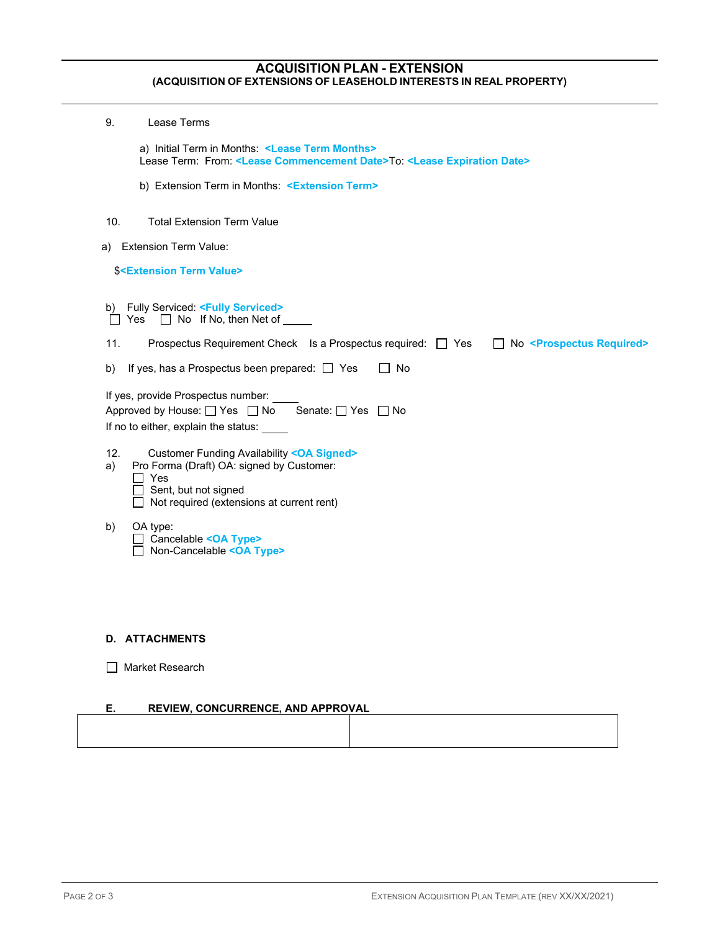## **ACQUISITION PLAN - EXTENSION (ACQUISITION OF EXTENSIONS OF LEASEHOLD INTERESTS IN REAL PROPERTY)**

| 9.        | Lease Terms                                                                                                                                                                                                                                                                                                                                                                                                                                  |
|-----------|----------------------------------------------------------------------------------------------------------------------------------------------------------------------------------------------------------------------------------------------------------------------------------------------------------------------------------------------------------------------------------------------------------------------------------------------|
|           | a) Initial Term in Months: <lease months="" term=""><br/>Lease Term: From: <lease commencement="" date="">To: <lease date="" expiration=""></lease></lease></lease>                                                                                                                                                                                                                                                                          |
|           | b) Extension Term in Months: < <b>Extension Term&gt;</b>                                                                                                                                                                                                                                                                                                                                                                                     |
| 10.       | <b>Total Extension Term Value</b>                                                                                                                                                                                                                                                                                                                                                                                                            |
| a)        | <b>Extension Term Value:</b>                                                                                                                                                                                                                                                                                                                                                                                                                 |
|           | <b>\$<extension term="" value=""></extension></b>                                                                                                                                                                                                                                                                                                                                                                                            |
| 11.<br>b) | b) Fully Serviced: <fully serviced=""><br/>Yes <math>\Box</math> No If No, then Net of <math>\Box</math><br/>Prospectus Requirement Check Is a Prospectus required: □ Yes<br/>No <prospectus required=""><br/>If yes, has a Prospectus been prepared: <math>\Box</math> Yes<br/>No<br/>If yes, provide Prospectus number:<br/>Approved by House: O Yes O No Senate: O Yes O No<br/>If no to either, explain the status:</prospectus></fully> |
| 12.<br>a) | <b>Customer Funding Availability <oa signed=""></oa></b><br>Pro Forma (Draft) OA: signed by Customer:<br>Yes<br>Sent, but not signed<br>Not required (extensions at current rent)                                                                                                                                                                                                                                                            |
| b)        | OA type:<br>Cancelable < OA Type><br>Non-Cancelable <oa type=""></oa>                                                                                                                                                                                                                                                                                                                                                                        |

# **D. ATTACHMENTS**

### **E. REVIEW, CONCURRENCE, AND APPROVAL**